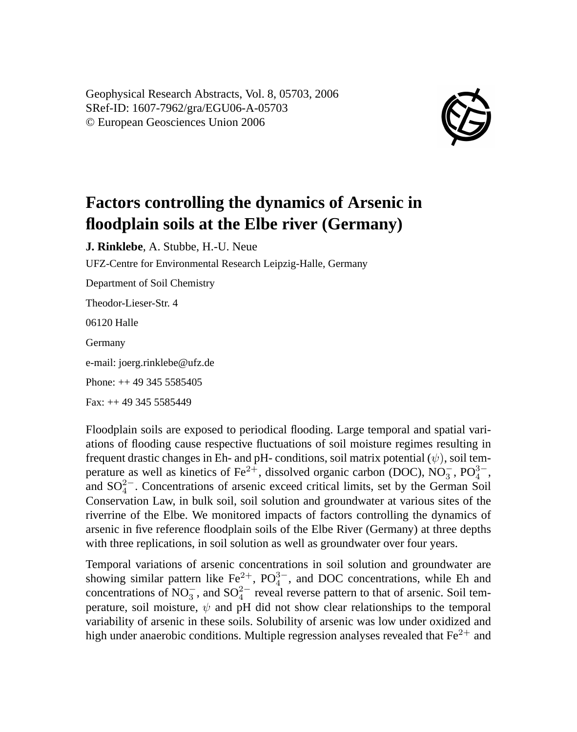Geophysical Research Abstracts, Vol. 8, 05703, 2006 SRef-ID: 1607-7962/gra/EGU06-A-05703 © European Geosciences Union 2006



## **Factors controlling the dynamics of Arsenic in floodplain soils at the Elbe river (Germany)**

**J. Rinklebe**, A. Stubbe, H.-U. Neue

UFZ-Centre for Environmental Research Leipzig-Halle, Germany

Department of Soil Chemistry Theodor-Lieser-Str. 4

06120 Halle

Germany

e-mail: joerg.rinklebe@ufz.de

Phone: ++ 49 345 5585405

Fax: ++ 49 345 5585449

Floodplain soils are exposed to periodical flooding. Large temporal and spatial variations of flooding cause respective fluctuations of soil moisture regimes resulting in frequent drastic changes in Eh- and pH- conditions, soil matrix potential  $(\psi)$ , soil temperature as well as kinetics of Fe<sup>2+</sup>, dissolved organic carbon (DOC), NO<sub>3</sub>, PO<sub>4</sub><sup>3-</sup>, and  $SO_4^{2-}$ . Concentrations of arsenic exceed critical limits, set by the German Soil Conservation Law, in bulk soil, soil solution and groundwater at various sites of the riverrine of the Elbe. We monitored impacts of factors controlling the dynamics of arsenic in five reference floodplain soils of the Elbe River (Germany) at three depths with three replications, in soil solution as well as groundwater over four years.

Temporal variations of arsenic concentrations in soil solution and groundwater are showing similar pattern like  $\text{Fe}^{2+}$ ,  $\text{PO}^{3-}$ , and DOC concentrations, while Eh and concentrations of NO<sub>3</sub><sup>-</sup>, and SO<sub>4</sub><sup>2</sup><sup>-</sup> reveal reverse pattern to that of arsenic. Soil temperature, soil moisture,  $\psi$  and pH did not show clear relationships to the temporal variability of arsenic in these soils. Solubility of arsenic was low under oxidized and high under anaerobic conditions. Multiple regression analyses revealed that  $Fe^{2+}$  and